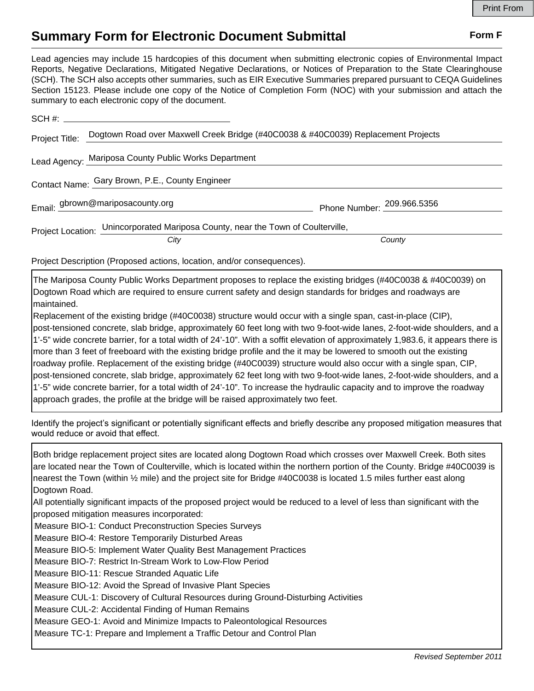## **Summary Form for Electronic Document Submittal Form F Form F**

Lead agencies may include 15 hardcopies of this document when submitting electronic copies of Environmental Impact Reports, Negative Declarations, Mitigated Negative Declarations, or Notices of Preparation to the State Clearinghouse (SCH). The SCH also accepts other summaries, such as EIR Executive Summaries prepared pursuant to CEQA Guidelines Section 15123. Please include one copy of the Notice of Completion Form (NOC) with your submission and attach the summary to each electronic copy of the document.

|                                                                                  | Project Title: Dogtown Road over Maxwell Creek Bridge (#40C0038 & #40C0039) Replacement Projects |                            |
|----------------------------------------------------------------------------------|--------------------------------------------------------------------------------------------------|----------------------------|
|                                                                                  | Lead Agency: Mariposa County Public Works Department                                             |                            |
| Contact Name: Gary Brown, P.E., County Engineer                                  |                                                                                                  |                            |
|                                                                                  | Email: gbrown@mariposacounty.org                                                                 | Phone Number: 209.966.5356 |
| Project Location: Unincorporated Mariposa County, near the Town of Coulterville, |                                                                                                  |                            |
|                                                                                  | City                                                                                             | County                     |

Project Description (Proposed actions, location, and/or consequences).

The Mariposa County Public Works Department proposes to replace the existing bridges (#40C0038 & #40C0039) on Dogtown Road which are required to ensure current safety and design standards for bridges and roadways are maintained.

Replacement of the existing bridge (#40C0038) structure would occur with a single span, cast-in-place (CIP), post-tensioned concrete, slab bridge, approximately 60 feet long with two 9-foot-wide lanes, 2-foot-wide shoulders, and a 1'-5" wide concrete barrier, for a total width of 24'-10". With a soffit elevation of approximately 1,983.6, it appears there is more than 3 feet of freeboard with the existing bridge profile and the it may be lowered to smooth out the existing roadway profile. Replacement of the existing bridge (#40C0039) structure would also occur with a single span, CIP, post-tensioned concrete, slab bridge, approximately 62 feet long with two 9-foot-wide lanes, 2-foot-wide shoulders, and a 1'-5" wide concrete barrier, for a total width of 24'-10". To increase the hydraulic capacity and to improve the roadway approach grades, the profile at the bridge will be raised approximately two feet.

Identify the project's significant or potentially significant effects and briefly describe any proposed mitigation measures that would reduce or avoid that effect.

Both bridge replacement project sites are located along Dogtown Road which crosses over Maxwell Creek. Both sites are located near the Town of Coulterville, which is located within the northern portion of the County. Bridge #40C0039 is nearest the Town (within ½ mile) and the project site for Bridge #40C0038 is located 1.5 miles further east along Dogtown Road.

All potentially significant impacts of the proposed project would be reduced to a level of less than significant with the proposed mitigation measures incorporated:

Measure BIO-1: Conduct Preconstruction Species Surveys

Measure BIO-4: Restore Temporarily Disturbed Areas

Measure BIO-5: Implement Water Quality Best Management Practices

Measure BIO-7: Restrict In-Stream Work to Low-Flow Period

Measure BIO-11: Rescue Stranded Aquatic Life

Measure BIO-12: Avoid the Spread of Invasive Plant Species

Measure CUL-1: Discovery of Cultural Resources during Ground-Disturbing Activities

Measure CUL-2: Accidental Finding of Human Remains

Measure GEO-1: Avoid and Minimize Impacts to Paleontological Resources

Measure TC-1: Prepare and Implement a Traffic Detour and Control Plan